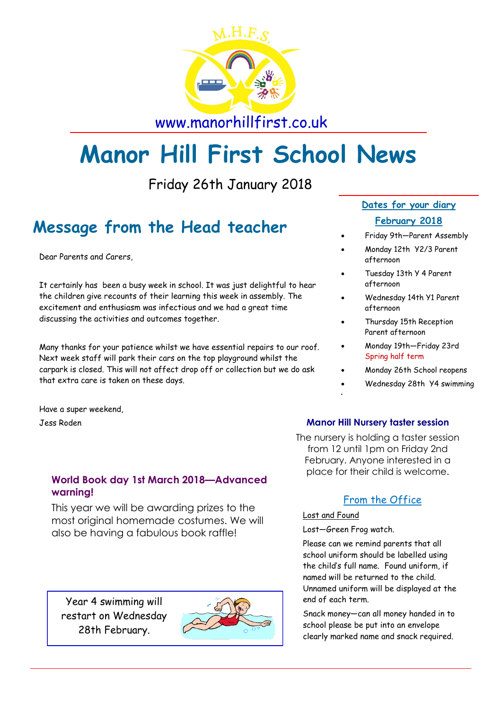

www.manorhillfirst.co.uk

# **Manor Hill First School News**

Friday 26th January 2018

# **Message from the Head teacher**

Dear Parents and Carers,

It certainly has been a busy week in school. It was just delightful to hear the children give recounts of their learning this week in assembly. The excitement and enthusiasm was infectious and we had a great time discussing the activities and outcomes together.

Many thanks for your patience whilst we have essential repairs to our roof. Next week staff will park their cars on the top playground whilst the carpark is closed. This will not affect drop off or collection but we do ask that extra care is taken on these days.

Have a super weekend,

Jess Roden

#### **World Book day 1st March 2018—Advanced warning!**

This year we will be awarding prizes to the most original homemade costumes. We will also be having a fabulous book raffle!

Year 4 swimming will restart on Wednesday 28th February.



#### **Dates for your diary February 2018**

- Friday 9th—Parent Assembly
- Monday 12th Y2/3 Parent afternoon
- Tuesday 13th Y 4 Parent afternoon
- Wednesday 14th Y1 Parent afternoon
- Thursday 15th Reception Parent afternoon
- Monday 19th—Friday 23rd Spring half term
- Monday 26th School reopens
- Wednesday 28th Y4 swimming

#### **Manor Hill Nursery taster session**

The nursery is holding a taster session from 12 until 1pm on Friday 2nd February. Anyone interested in a place for their child is welcome.

### From the Office

#### Lost and Found

Lost—Green Frog watch.

ï

Please can we remind parents that all school uniform should be labelled using the child's full name. Found uniform, if named will be returned to the child. Unnamed uniform will be displayed at the end of each term.

Snack money—can all money handed in to school please be put into an envelope clearly marked name and snack required.